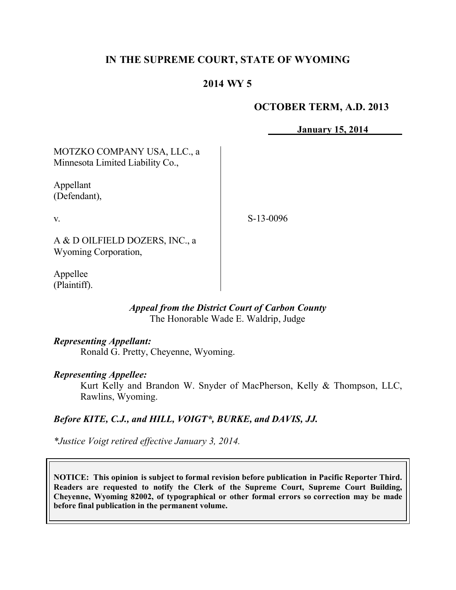# **IN THE SUPREME COURT, STATE OF WYOMING**

## **2014 WY 5**

#### **OCTOBER TERM, A.D. 2013**

**January 15, 2014**

MOTZKO COMPANY USA, LLC., a Minnesota Limited Liability Co.,

Appellant (Defendant),

v.

S-13-0096

A & D OILFIELD DOZERS, INC., a Wyoming Corporation,

Appellee (Plaintiff).

#### *Appeal from the District Court of Carbon County* The Honorable Wade E. Waldrip, Judge

*Representing Appellant:*

Ronald G. Pretty, Cheyenne, Wyoming.

#### *Representing Appellee:*

Kurt Kelly and Brandon W. Snyder of MacPherson, Kelly & Thompson, LLC, Rawlins, Wyoming.

#### *Before KITE, C.J., and HILL, VOIGT\*, BURKE, and DAVIS, JJ.*

*\*Justice Voigt retired effective January 3, 2014.*

**NOTICE: This opinion is subject to formal revision before publication in Pacific Reporter Third. Readers are requested to notify the Clerk of the Supreme Court, Supreme Court Building, Cheyenne, Wyoming 82002, of typographical or other formal errors so correction may be made before final publication in the permanent volume.**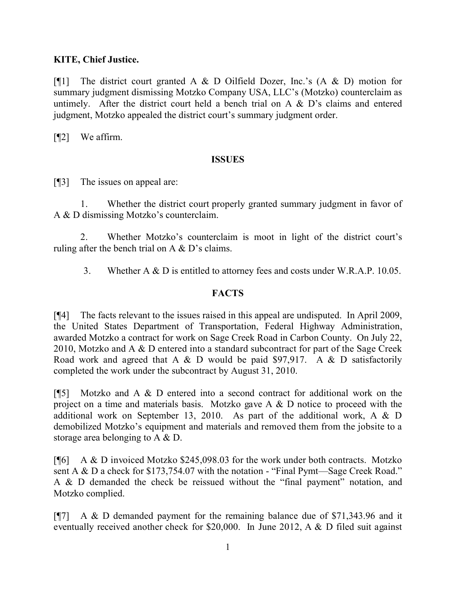## **KITE, Chief Justice.**

[ $[$ [1] The district court granted A & D Oilfield Dozer, Inc.'s (A & D) motion for summary judgment dismissing Motzko Company USA, LLC's (Motzko) counterclaim as untimely. After the district court held a bench trial on A & D's claims and entered judgment, Motzko appealed the district court's summary judgment order.

[¶2] We affirm.

## **ISSUES**

[¶3] The issues on appeal are:

1. Whether the district court properly granted summary judgment in favor of A & D dismissing Motzko's counterclaim.

2. Whether Motzko's counterclaim is moot in light of the district court's ruling after the bench trial on  $A \& D$ 's claims.

3. Whether A & D is entitled to attorney fees and costs under W.R.A.P. 10.05.

## **FACTS**

[¶4] The facts relevant to the issues raised in this appeal are undisputed. In April 2009, the United States Department of Transportation, Federal Highway Administration, awarded Motzko a contract for work on Sage Creek Road in Carbon County. On July 22, 2010, Motzko and A & D entered into a standard subcontract for part of the Sage Creek Road work and agreed that A  $\&$  D would be paid \$97,917. A  $\&$  D satisfactorily completed the work under the subcontract by August 31, 2010.

[¶5] Motzko and A & D entered into a second contract for additional work on the project on a time and materials basis. Motzko gave  $A \& D$  notice to proceed with the additional work on September 13, 2010. As part of the additional work, A & D demobilized Motzko's equipment and materials and removed them from the jobsite to a storage area belonging to A & D.

[¶6] A & D invoiced Motzko \$245,098.03 for the work under both contracts. Motzko sent A & D a check for \$173,754.07 with the notation - "Final Pymt—Sage Creek Road." A & D demanded the check be reissued without the "final payment" notation, and Motzko complied.

[¶7] A & D demanded payment for the remaining balance due of \$71,343.96 and it eventually received another check for \$20,000. In June 2012, A & D filed suit against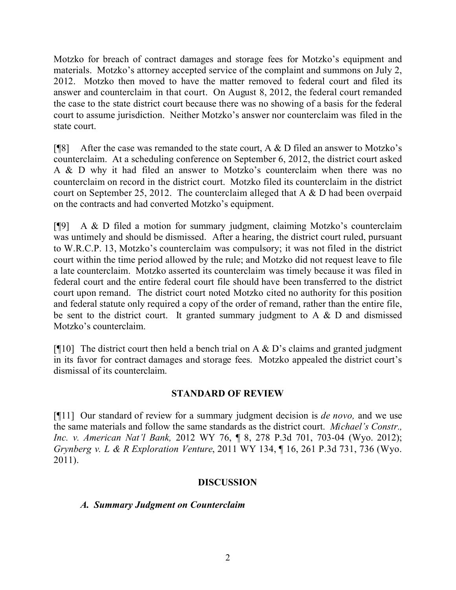Motzko for breach of contract damages and storage fees for Motzko's equipment and materials. Motzko's attorney accepted service of the complaint and summons on July 2, 2012. Motzko then moved to have the matter removed to federal court and filed its answer and counterclaim in that court. On August 8, 2012, the federal court remanded the case to the state district court because there was no showing of a basis for the federal court to assume jurisdiction. Neither Motzko's answer nor counterclaim was filed in the state court.

[ $[$ [8] After the case was remanded to the state court, A & D filed an answer to Motzko's counterclaim. At a scheduling conference on September 6, 2012, the district court asked A & D why it had filed an answer to Motzko's counterclaim when there was no counterclaim on record in the district court. Motzko filed its counterclaim in the district court on September 25, 2012. The counterclaim alleged that A & D had been overpaid on the contracts and had converted Motzko's equipment.

[¶9] A & D filed a motion for summary judgment, claiming Motzko's counterclaim was untimely and should be dismissed. After a hearing, the district court ruled, pursuant to W.R.C.P. 13, Motzko's counterclaim was compulsory; it was not filed in the district court within the time period allowed by the rule; and Motzko did not request leave to file a late counterclaim. Motzko asserted its counterclaim was timely because it was filed in federal court and the entire federal court file should have been transferred to the district court upon remand. The district court noted Motzko cited no authority for this position and federal statute only required a copy of the order of remand, rather than the entire file, be sent to the district court. It granted summary judgment to A  $\&$  D and dismissed Motzko's counterclaim.

[ $[$ [10] The district court then held a bench trial on A & D's claims and granted judgment in its favor for contract damages and storage fees. Motzko appealed the district court's dismissal of its counterclaim.

## **STANDARD OF REVIEW**

[¶11] Our standard of review for a summary judgment decision is *de novo,* and we use the same materials and follow the same standards as the district court. *Michael's Constr., Inc. v. American Nat'l Bank,* 2012 WY 76, ¶ 8, 278 P.3d 701, 703-04 (Wyo. 2012); *Grynberg v. L & R Exploration Venture*, 2011 WY 134, ¶ 16, 261 P.3d 731, 736 (Wyo. 2011).

# **DISCUSSION**

# *A. Summary Judgment on Counterclaim*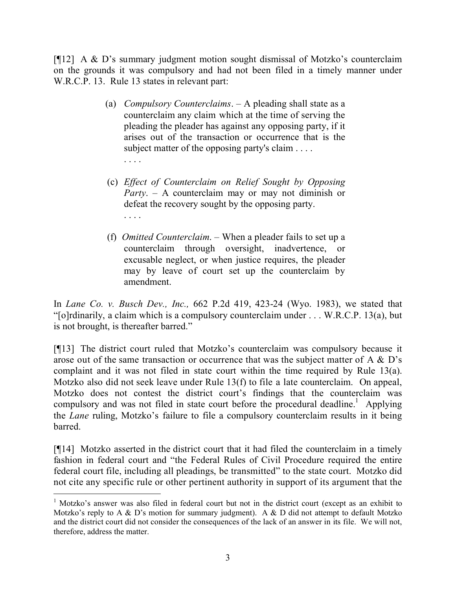[¶12] A & D's summary judgment motion sought dismissal of Motzko's counterclaim on the grounds it was compulsory and had not been filed in a timely manner under W.R.C.P. 13. Rule 13 states in relevant part:

- (a) *Compulsory Counterclaims*. A pleading shall state as a counterclaim any claim which at the time of serving the pleading the pleader has against any opposing party, if it arises out of the transaction or occurrence that is the subject matter of the opposing party's claim . . . . . . . .
- (c) *Effect of Counterclaim on Relief Sought by Opposing Party*. – A counterclaim may or may not diminish or defeat the recovery sought by the opposing party. . . . .
- (f) *Omitted Counterclaim*. When a pleader fails to set up a counterclaim through oversight, inadvertence, or excusable neglect, or when justice requires, the pleader may by leave of court set up the counterclaim by amendment.

In *Lane Co. v. Busch Dev., Inc.,* 662 P.2d 419, 423-24 (Wyo. 1983), we stated that "[o]rdinarily, a claim which is a compulsory counterclaim under . . . W.R.C.P. 13(a), but is not brought, is thereafter barred."

[¶13] The district court ruled that Motzko's counterclaim was compulsory because it arose out of the same transaction or occurrence that was the subject matter of A & D's complaint and it was not filed in state court within the time required by Rule 13(a). Motzko also did not seek leave under Rule 13(f) to file a late counterclaim. On appeal, Motzko does not contest the district court's findings that the counterclaim was compulsory and was not filed in state court before the procedural deadline.<sup>1</sup> Applying the *Lane* ruling, Motzko's failure to file a compulsory counterclaim results in it being barred.

[¶14] Motzko asserted in the district court that it had filed the counterclaim in a timely fashion in federal court and "the Federal Rules of Civil Procedure required the entire federal court file, including all pleadings, be transmitted" to the state court. Motzko did not cite any specific rule or other pertinent authority in support of its argument that the

 $\overline{a}$ 

<sup>&</sup>lt;sup>1</sup> Motzko's answer was also filed in federal court but not in the district court (except as an exhibit to Motzko's reply to A & D's motion for summary judgment). A & D did not attempt to default Motzko and the district court did not consider the consequences of the lack of an answer in its file. We will not, therefore, address the matter.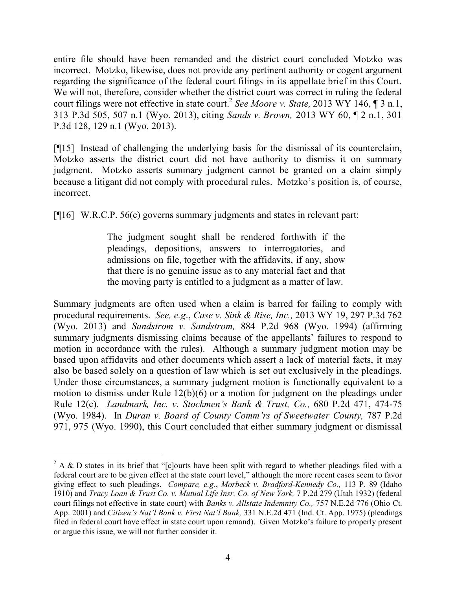entire file should have been remanded and the district court concluded Motzko was incorrect. Motzko, likewise, does not provide any pertinent authority or cogent argument regarding the significance of the federal court filings in its appellate brief in this Court. We will not, therefore, consider whether the district court was correct in ruling the federal court filings were not effective in state court.<sup>2</sup> See Moore v. State, 2013 WY 146, 1 3 n.1, 313 P.3d 505, 507 n.1 (Wyo. 2013), citing *Sands v. Brown,* 2013 WY 60, ¶ 2 n.1, 301 P.3d 128, 129 n.1 (Wyo. 2013).

[¶15] Instead of challenging the underlying basis for the dismissal of its counterclaim, Motzko asserts the district court did not have authority to dismiss it on summary judgment. Motzko asserts summary judgment cannot be granted on a claim simply because a litigant did not comply with procedural rules. Motzko's position is, of course, incorrect.

[¶16] W.R.C.P. 56(c) governs summary judgments and states in relevant part:

The judgment sought shall be rendered forthwith if the pleadings, depositions, answers to interrogatories, and admissions on file, together with the affidavits, if any, show that there is no genuine issue as to any material fact and that the moving party is entitled to a judgment as a matter of law.

Summary judgments are often used when a claim is barred for failing to comply with procedural requirements. *See, e.g*., *Case v. Sink & Rise, Inc.,* 2013 WY 19, 297 P.3d 762 (Wyo. 2013) and *Sandstrom v. Sandstrom,* 884 P.2d 968 (Wyo. 1994) (affirming summary judgments dismissing claims because of the appellants' failures to respond to motion in accordance with the rules). Although a summary judgment motion may be based upon affidavits and other documents which assert a lack of material facts, it may also be based solely on a question of law which is set out exclusively in the pleadings. Under those circumstances, a summary judgment motion is functionally equivalent to a motion to dismiss under Rule 12(b)(6) or a motion for judgment on the pleadings under Rule 12(c). *Landmark, Inc. v. Stockmen's Bank & Trust, Co.,* 680 P.2d 471, 474-75 (Wyo. 1984). In *Duran v. Board of County Comm'rs of Sweetwater County,* 787 P.2d 971, 975 (Wyo. 1990), this Court concluded that either summary judgment or dismissal

<sup>&</sup>lt;sup>2</sup> A & D states in its brief that "[c]ourts have been split with regard to whether pleadings filed with a federal court are to be given effect at the state court level," although the more recent cases seem to favor giving effect to such pleadings. *Compare, e.g.*, *Morbeck v. Bradford-Kennedy Co.,* 113 P. 89 (Idaho 1910) and *Tracy Loan & Trust Co. v. Mutual Life Insr. Co. of New York,* 7 P.2d 279 (Utah 1932) (federal court filings not effective in state court) with *Banks v. Allstate Indemnity Co.,* 757 N.E.2d 776 (Ohio Ct. App. 2001) and *Citizen's Nat'l Bank v. First Nat'l Bank,* 331 N.E.2d 471 (Ind. Ct. App. 1975) (pleadings filed in federal court have effect in state court upon remand). Given Motzko's failure to properly present or argue this issue, we will not further consider it.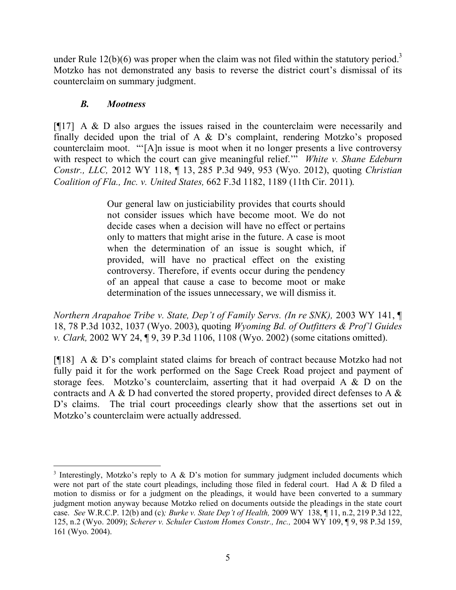under Rule  $12(b)(6)$  was proper when the claim was not filed within the statutory period.<sup>3</sup> Motzko has not demonstrated any basis to reverse the district court's dismissal of its counterclaim on summary judgment.

## *B. Mootness*

 $\overline{a}$ 

[¶17] A & D also argues the issues raised in the counterclaim were necessarily and finally decided upon the trial of A & D's complaint, rendering Motzko's proposed counterclaim moot. "'[A]n issue is moot when it no longer presents a live controversy with respect to which the court can give meaningful relief." *White v. Shane Edeburn Constr., LLC,* 2012 WY 118, ¶ 13, 285 P.3d 949, 953 (Wyo. 2012), quoting *Christian Coalition of Fla., Inc. v. United States,* 662 F.3d 1182, 1189 (11th Cir. 2011).

> Our general law on justiciability provides that courts should not consider issues which have become moot. We do not decide cases when a decision will have no effect or pertains only to matters that might arise in the future. A case is moot when the determination of an issue is sought which, if provided, will have no practical effect on the existing controversy. Therefore, if events occur during the pendency of an appeal that cause a case to become moot or make determination of the issues unnecessary, we will dismiss it.

*Northern Arapahoe Tribe v. State, Dep't of Family Servs. (In re SNK),* 2003 WY 141, ¶ 18, 78 P.3d 1032, 1037 (Wyo. 2003), quoting *Wyoming Bd. of Outfitters & Prof'l Guides v. Clark,* 2002 WY 24, ¶ 9, 39 P.3d 1106, 1108 (Wyo. 2002) (some citations omitted).

[¶18] A & D's complaint stated claims for breach of contract because Motzko had not fully paid it for the work performed on the Sage Creek Road project and payment of storage fees. Motzko's counterclaim, asserting that it had overpaid A & D on the contracts and A & D had converted the stored property, provided direct defenses to A & D's claims. The trial court proceedings clearly show that the assertions set out in Motzko's counterclaim were actually addressed.

<sup>&</sup>lt;sup>3</sup> Interestingly, Motzko's reply to A  $\&$  D's motion for summary judgment included documents which were not part of the state court pleadings, including those filed in federal court. Had A & D filed a motion to dismiss or for a judgment on the pleadings, it would have been converted to a summary judgment motion anyway because Motzko relied on documents outside the pleadings in the state court case. *See* W.R.C.P. 12(b) and (c)*; Burke v. State Dep't of Health,* 2009 WY 138, ¶ 11, n.2, 219 P.3d 122, 125, n.2 (Wyo. 2009); *Scherer v. Schuler Custom Homes Constr., Inc.,* 2004 WY 109, ¶ 9, 98 P.3d 159, 161 (Wyo. 2004).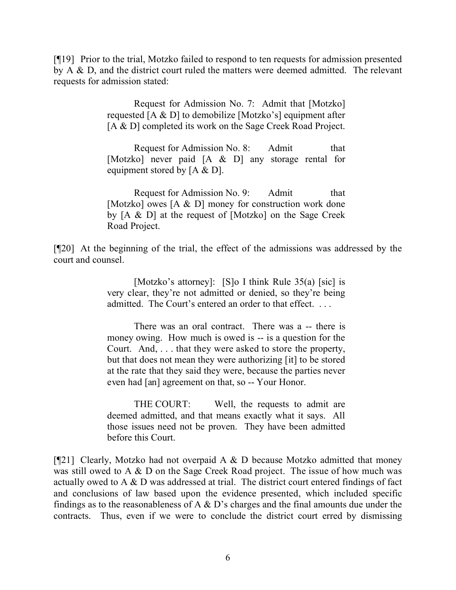[¶19] Prior to the trial, Motzko failed to respond to ten requests for admission presented by A & D, and the district court ruled the matters were deemed admitted. The relevant requests for admission stated:

> Request for Admission No. 7: Admit that [Motzko] requested [A & D] to demobilize [Motzko's] equipment after [A & D] completed its work on the Sage Creek Road Project.

> Request for Admission No. 8: Admit that [Motzko] never paid [A & D] any storage rental for equipment stored by [A & D].

> Request for Admission No. 9: Admit that [Motzko] owes [A & D] money for construction work done by [A & D] at the request of [Motzko] on the Sage Creek Road Project.

[¶20] At the beginning of the trial, the effect of the admissions was addressed by the court and counsel.

> [Motzko's attorney]: [S]o I think Rule 35(a) [sic] is very clear, they're not admitted or denied, so they're being admitted. The Court's entered an order to that effect. . . .

> There was an oral contract. There was a -- there is money owing. How much is owed is -- is a question for the Court. And, . . . that they were asked to store the property, but that does not mean they were authorizing [it] to be stored at the rate that they said they were, because the parties never even had [an] agreement on that, so -- Your Honor.

> THE COURT: Well, the requests to admit are deemed admitted, and that means exactly what it says. All those issues need not be proven. They have been admitted before this Court.

[ $[$ [21] Clearly, Motzko had not overpaid A & D because Motzko admitted that money was still owed to A & D on the Sage Creek Road project. The issue of how much was actually owed to A & D was addressed at trial. The district court entered findings of fact and conclusions of law based upon the evidence presented, which included specific findings as to the reasonableness of A  $\&$  D's charges and the final amounts due under the contracts. Thus, even if we were to conclude the district court erred by dismissing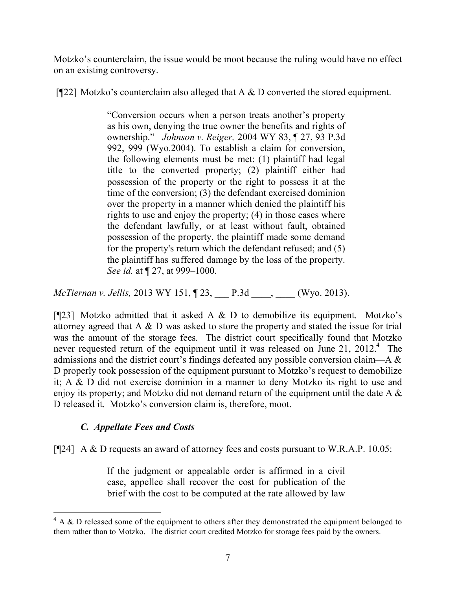Motzko's counterclaim, the issue would be moot because the ruling would have no effect on an existing controversy.

[¶22] Motzko's counterclaim also alleged that A & D converted the stored equipment.

"Conversion occurs when a person treats another's property as his own, denying the true owner the benefits and rights of ownership." *Johnson v. Reiger,* 2004 WY 83, ¶ 27, 93 P.3d 992, 999 (Wyo.2004). To establish a claim for conversion, the following elements must be met: (1) plaintiff had legal title to the converted property; (2) plaintiff either had possession of the property or the right to possess it at the time of the conversion; (3) the defendant exercised dominion over the property in a manner which denied the plaintiff his rights to use and enjoy the property; (4) in those cases where the defendant lawfully, or at least without fault, obtained possession of the property, the plaintiff made some demand for the property's return which the defendant refused; and (5) the plaintiff has suffered damage by the loss of the property. *See id.* at  $\P$  27, at 999–1000.

*McTiernan v. Jellis,* 2013 WY 151,  $\sqrt{23}$ , P.3d (Wyo. 2013).

[ $[23]$ ] Motzko admitted that it asked A & D to demobilize its equipment. Motzko's attorney agreed that A & D was asked to store the property and stated the issue for trial was the amount of the storage fees. The district court specifically found that Motzko never requested return of the equipment until it was released on June 21,  $2012<sup>4</sup>$ . The admissions and the district court's findings defeated any possible conversion claim—A & D properly took possession of the equipment pursuant to Motzko's request to demobilize it; A & D did not exercise dominion in a manner to deny Motzko its right to use and enjoy its property; and Motzko did not demand return of the equipment until the date A & D released it. Motzko's conversion claim is, therefore, moot.

# *C. Appellate Fees and Costs*

[¶24] A & D requests an award of attorney fees and costs pursuant to W.R.A.P. 10.05:

If the judgment or appealable order is affirmed in a civil case, appellee shall recover the cost for publication of the brief with the cost to be computed at the rate allowed by law

  $4 A \& D$  released some of the equipment to others after they demonstrated the equipment belonged to them rather than to Motzko. The district court credited Motzko for storage fees paid by the owners.